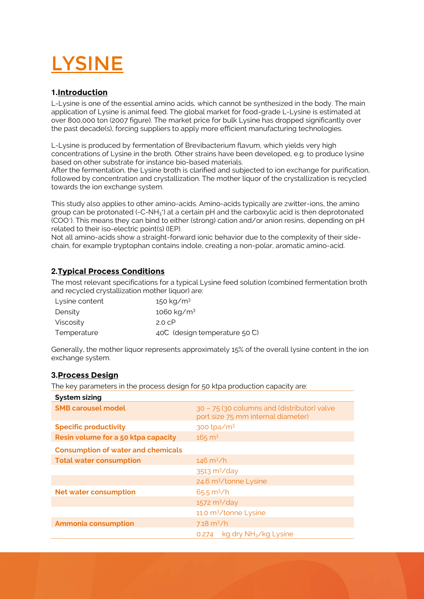# LYSINE

# **1.Introduction**

L-Lysine is one of the essential amino acids, which cannot be synthesized in the body. The main application of Lysine is animal feed. The global market for food-grade L-Lysine is estimated at over 800,000 ton (2007 figure). The market price for bulk Lysine has dropped significantly over the past decade(s), forcing suppliers to apply more efficient manufacturing technologies.

L-Lysine is produced by fermentation of Brevibacterium flavum, which yields very high concentrations of Lysine in the broth. Other strains have been developed, e.g. to produce lysine based on other substrate for instance bio-based materials.

After the fermentation, the Lysine broth is clarified and subjected to ion exchange for purification, followed by concentration and crystallization. The mother liquor of the crystallization is recycled towards the ion exchange system.

This study also applies to other amino-acids. Amino-acids typically are zwitter-ions, the amino group can be protonated (-C-NH<sub>3</sub><sup>+</sup>) at a certain pH and the carboxylic acid is then deprotonated (COO- ). This means they can bind to either (strong) cation and/or anion resins, depending on pH related to their iso-electric point(s) (IEP).

Not all amino-acids show a straight-forward ionic behavior due to the complexity of their sidechain, for example tryptophan contains indole, creating a non-polar, aromatic amino-acid.

# **2.Typical Process Conditions**

The most relevant specifications for a typical Lysine feed solution (combined fermentation broth and recycled crystallization mother liquor) are:

| Lysine content | 150 kg/m <sup>3</sup>          |
|----------------|--------------------------------|
| Density        | 1060 kg/m <sup>3</sup>         |
| Viscosity      | 2.0 C <sup>p</sup>             |
| Temperature    | 40°C (design temperature 50°C) |

Generally, the mother liquor represents approximately 15% of the overall lysine content in the ion exchange system.

### **3.Process Design**

The key parameters in the process design for 50 ktpa production capacity are:

| <b>System sizing</b>                      |                                                                                   |  |
|-------------------------------------------|-----------------------------------------------------------------------------------|--|
| <b>SMB carousel model</b>                 | 30 - 75 (30 columns and (distributor) valve<br>port size 75 mm internal diameter) |  |
| <b>Specific productivity</b>              | 300 tpa/m <sup>3</sup>                                                            |  |
| Resin volume for a 50 ktpa capacity       | $165 \text{ m}^3$                                                                 |  |
| <b>Consumption of water and chemicals</b> |                                                                                   |  |
| <b>Total water consumption</b>            | $146 \text{ m}^3/h$                                                               |  |
|                                           | 3513 m <sup>3</sup> /day                                                          |  |
|                                           | 24.6 m <sup>3</sup> /tonne Lysine                                                 |  |
| <b>Net water consumption</b>              | $65.5 \text{ m}^3/h$                                                              |  |
|                                           | $1572 \text{ m}^3/\text{day}$                                                     |  |
|                                           | 11.0 m <sup>3</sup> /tonne Lysine                                                 |  |
| <b>Ammonia consumption</b>                | $7.18 \text{ m}^3/h$                                                              |  |
|                                           | $kg$ dry $NH3/kg$ Lysine<br>0.274                                                 |  |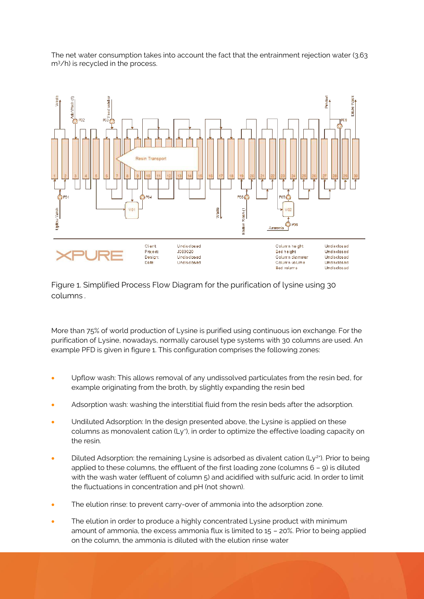

The net water consumption takes into account the fact that the entrainment rejection water (3.63 m<sup>3</sup>/h) is recycled in the process.

Figure 1. Simplified Process Flow Diagram for the purification of lysine using 30 columns *.*

More than 75% of world production of Lysine is purified using continuous ion exchange. For the purification of Lysine, nowadays, normally carousel type systems with 30 columns are used. An example PFD is given in figure 1. This configuration comprises the following zones:

- Upflow wash: This allows removal of any undissolved particulates from the resin bed, for example originating from the broth, by slightly expanding the resin bed
- Adsorption wash: washing the interstitial fluid from the resin beds after the adsorption.
- Undiluted Adsorption: In the design presented above, the Lysine is applied on these columns as monovalent cation (Ly\*), in order to optimize the effective loading capacity on the resin.
- $\bullet$  Diluted Adsorption: the remaining Lysine is adsorbed as divalent cation (Ly<sup>2+</sup>). Prior to being applied to these columns, the effluent of the first loading zone (columns 6 – 9) is diluted with the wash water (effluent of column 5) and acidified with sulfuric acid. In order to limit the fluctuations in concentration and pH (not shown).
- The elution rinse: to prevent carry-over of ammonia into the adsorption zone.
- The elution in order to produce a highly concentrated Lysine product with minimum amount of ammonia, the excess ammonia flux is limited to 15 – 20%. Prior to being applied on the column, the ammonia is diluted with the elution rinse water